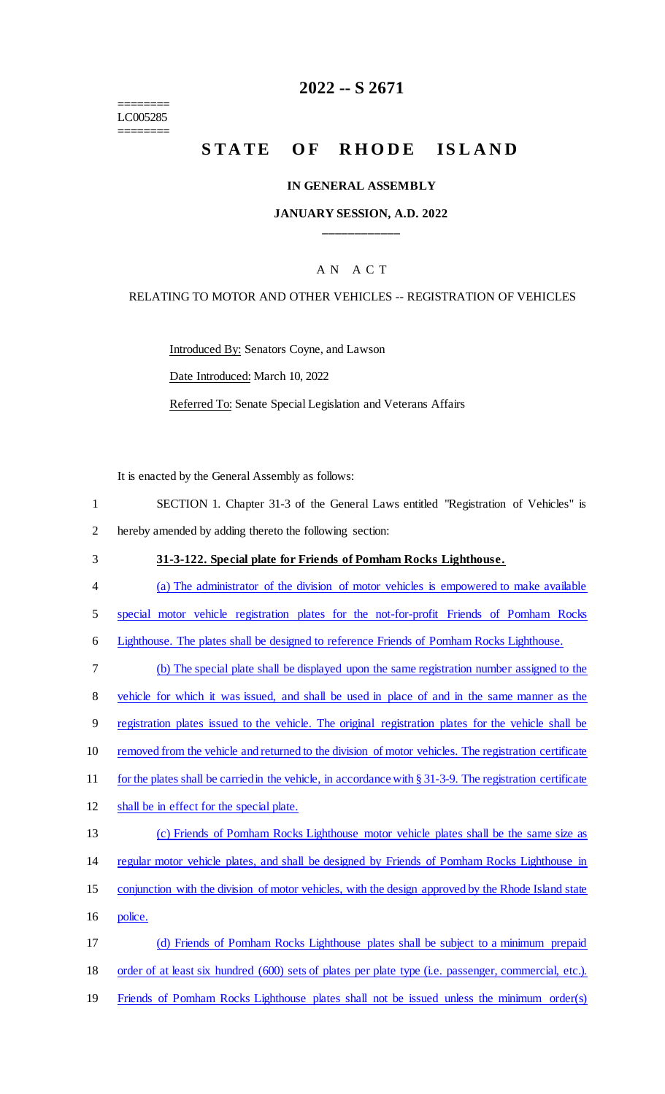======== LC005285 ========

# **2022 -- S 2671**

# STATE OF RHODE ISLAND

#### **IN GENERAL ASSEMBLY**

#### **JANUARY SESSION, A.D. 2022 \_\_\_\_\_\_\_\_\_\_\_\_**

### A N A C T

#### RELATING TO MOTOR AND OTHER VEHICLES -- REGISTRATION OF VEHICLES

Introduced By: Senators Coyne, and Lawson

Date Introduced: March 10, 2022

Referred To: Senate Special Legislation and Veterans Affairs

It is enacted by the General Assembly as follows:

- 1 SECTION 1. Chapter 31-3 of the General Laws entitled "Registration of Vehicles" is 2 hereby amended by adding thereto the following section:
- 3 **31-3-122. Special plate for Friends of Pomham Rocks Lighthouse.**
- 4 (a) The administrator of the division of motor vehicles is empowered to make available
- 5 special motor vehicle registration plates for the not-for-profit Friends of Pomham Rocks

6 Lighthouse. The plates shall be designed to reference Friends of Pomham Rocks Lighthouse.

- 7 (b) The special plate shall be displayed upon the same registration number assigned to the 8 vehicle for which it was issued, and shall be used in place of and in the same manner as the 9 registration plates issued to the vehicle. The original registration plates for the vehicle shall be 10 removed from the vehicle and returned to the division of motor vehicles. The registration certificate 11 for the plates shall be carried in the vehicle, in accordance with § 31-3-9. The registration certificate 12 shall be in effect for the special plate. 13 (c) Friends of Pomham Rocks Lighthouse motor vehicle plates shall be the same size as 14 regular motor vehicle plates, and shall be designed by Friends of Pomham Rocks Lighthouse in 15 conjunction with the division of motor vehicles, with the design approved by the Rhode Island state 16 police.
- 17 (d) Friends of Pomham Rocks Lighthouse plates shall be subject to a minimum prepaid 18 order of at least six hundred (600) sets of plates per plate type (i.e. passenger, commercial, etc.). 19 Friends of Pomham Rocks Lighthouse plates shall not be issued unless the minimum order(s)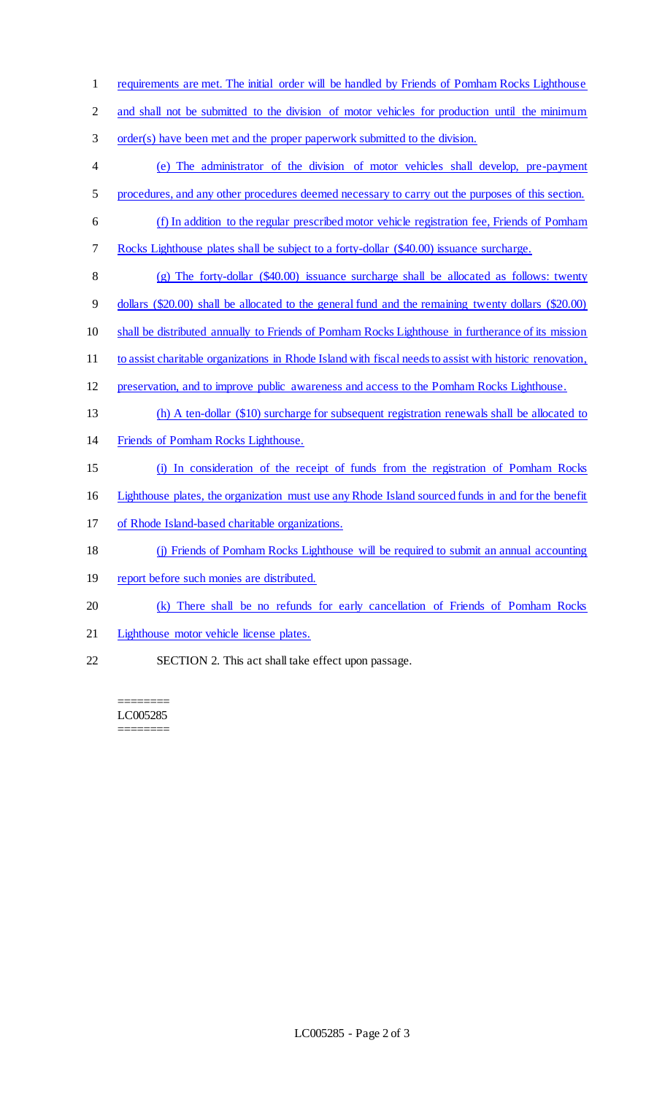requirements are met. The initial order will be handled by Friends of Pomham Rocks Lighthouse 2 and shall not be submitted to the division of motor vehicles for production until the minimum order(s) have been met and the proper paperwork submitted to the division. (e) The administrator of the division of motor vehicles shall develop, pre-payment procedures, and any other procedures deemed necessary to carry out the purposes of this section. (f) In addition to the regular prescribed motor vehicle registration fee, Friends of Pomham Rocks Lighthouse plates shall be subject to a forty-dollar (\$40.00) issuance surcharge. (g) The forty-dollar (\$40.00) issuance surcharge shall be allocated as follows: twenty dollars (\$20.00) shall be allocated to the general fund and the remaining twenty dollars (\$20.00) shall be distributed annually to Friends of Pomham Rocks Lighthouse in furtherance of its mission to assist charitable organizations in Rhode Island with fiscal needs to assist with historic renovation, preservation, and to improve public awareness and access to the Pomham Rocks Lighthouse. (h) A ten-dollar (\$10) surcharge for subsequent registration renewals shall be allocated to Friends of Pomham Rocks Lighthouse. (i) In consideration of the receipt of funds from the registration of Pomham Rocks Lighthouse plates, the organization must use any Rhode Island sourced funds in and for the benefit of Rhode Island-based charitable organizations. (j) Friends of Pomham Rocks Lighthouse will be required to submit an annual accounting 19 report before such monies are distributed. (k) There shall be no refunds for early cancellation of Friends of Pomham Rocks

- Lighthouse motor vehicle license plates.
- SECTION 2. This act shall take effect upon passage.

======== LC005285 ========